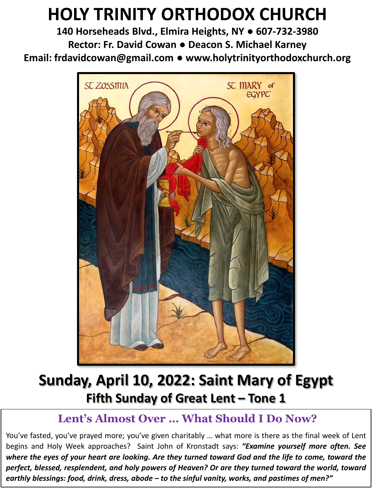# **HOLY TRINITY ORTHODOX CHURCH**

**140 Horseheads Blvd., Elmira Heights, NY ● 607-732-3980 Rector: Fr. David Cowan ● Deacon S. Michael Karney Email: frdavidcowan@gmail.com ● www.holytrinityorthodoxchurch.org**



# **Sunday, April 10, 2022: Saint Mary of Egypt Fifth Sunday of Great Lent – Tone 1**

# **Lent's Almost Over … What Should I Do Now?**

You've fasted, you've prayed more; you've given charitably ... what more is there as the final week of Lent begins and Holy Week approaches? Saint John of Kronstadt says: *"Examine yourself more often. See* where the eyes of your heart are looking. Are they turned toward God and the life to come, toward the *perfect, blessed, resplendent, and holy powers of Heaven? Or are they turned toward the world, toward earthly blessings: food, drink, dress, abode – to the sinful vanity, works, and pastimes of men?"*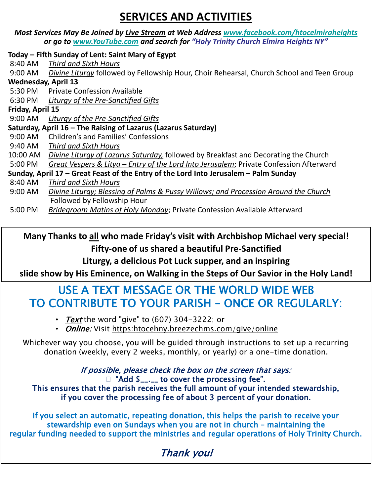# **SERVICES AND ACTIVITIES**

*Most Services May Be Joined by Live Stream at Web Address [www.facebook.com/htocelmiraheights](http://www.facebook.com/htocelmiraheights) or go to [www.YouTube.com](http://www.youtube.com/) and search for "Holy Trinity Church Elmira Heights NY"*

### **Today – Fifth Sunday of Lent: Saint Mary of Egypt**

- 8:40 AM *Third and Sixth Hours* 9:00 AM *Divine Liturgy* followed by Fellowship Hour, Choir Rehearsal, Church School and Teen Group **Wednesday, April 13**
	- 5:30 PM Private Confession Available
	- 6:30 PM *Liturgy of the Pre-Sanctified Gifts*

### **Friday, April 15**

9:00 AM *Liturgy of the Pre-Sanctified Gifts*

### **Saturday, April 16 – The Raising of Lazarus (Lazarus Saturday)**

- 9:00 AM Children's and Families' Confessions
- 9:40 AM *Third and Sixth Hours*
- 10:00 AM *Divine Liturgy of Lazarus Saturday,* followed by Breakfast and Decorating the Church
- 5:00 PM *Great Vespers & Litya – Entry of the Lord Into Jerusalem*; Private Confession Afterward

#### **Sunday, April 17 – Great Feast of the Entry of the Lord Into Jerusalem – Palm Sunday**  8:40 AM *Third and Sixth Hours*

- 9:00 AM *Divine Liturgy; Blessing of Palms & Pussy Willows; and Procession Around the Church*  Followed by Fellowship Hour
- 5:00 PM *Bridegroom Matins of Holy Monday*; Private Confession Available Afterward

**Many Thanks to all who made Friday's visit with Archbishop Michael very special! Fifty-one of us shared a beautiful Pre-Sanctified** 

**Liturgy, a delicious Pot Luck supper, and an inspiring** 

**slide show by His Eminence, on Walking in the Steps of Our Savior in the Holy Land!** 

# USE A TEXT MESSAGE OR THE WORLD WIDE WEB TO CONTRIBUTE TO YOUR PARISH – ONCE OR REGULARLY:

- Text the word "give" to  $(607)$  304-3222; or
- *Online:* Visit https:htocehny.breezechms.com/give/online

Whichever way you choose, you will be guided through instructions to set up a recurring donation (weekly, every 2 weeks, monthly, or yearly) or a one-time donation.

If possible, please check the box on the screen that says: □ "Add \$\_\_.\_\_ to cover the processing fee". This ensures that the parish receives the full amount of your intended stewardship, if you cover the processing fee of about 3 percent of your donation.

If you select an automatic, repeating donation, this helps the parish to receive your stewardship even on Sundays when you are not in church – maintaining the regular funding needed to support the ministries and regular operations of Holy Trinity Church.

# Thank you!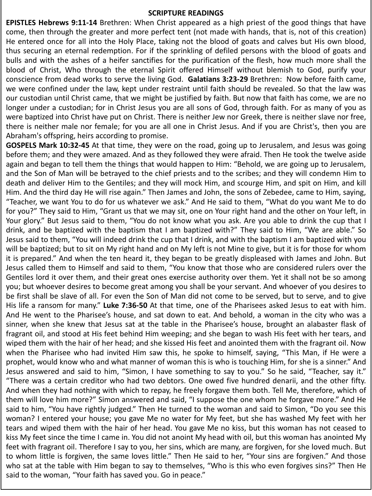#### **SCRIPTURE READINGS**

**EPISTLES Hebrews 9:11-14** Brethren: When Christ appeared as a high priest of the good things that have come, then through the greater and more perfect tent (not made with hands, that is, not of this creation) He entered once for all into the Holy Place, taking not the blood of goats and calves but His own blood, thus securing an eternal redemption. For if the sprinkling of defiled persons with the blood of goats and bulls and with the ashes of a heifer sanctifies for the purification of the flesh, how much more shall the blood of Christ, Who through the eternal Spirit offered Himself without blemish to God, purify your conscience from dead works to serve the living God. **Galatians 3:23-29** Brethren: Now before faith came, we were confined under the law, kept under restraint until faith should be revealed. So that the law was our custodian until Christ came, that we might be justified by faith. But now that faith has come, we are no longer under a custodian; for in Christ Jesus you are all sons of God, through faith. For as many of you as were baptized into Christ have put on Christ. There is neither Jew nor Greek, there is neither slave nor free, there is neither male nor female; for you are all one in Christ Jesus. And if you are Christ's, then you are Abraham's offspring, heirs according to promise.

**GOSPELS Mark 10:32-45** At that time, they were on the road, going up to Jerusalem, and Jesus was going before them; and they were amazed. And as they followed they were afraid. Then He took the twelve aside again and began to tell them the things that would happen to Him: "Behold, we are going up to Jerusalem, and the Son of Man will be betrayed to the chief priests and to the scribes; and they will condemn Him to death and deliver Him to the Gentiles; and they will mock Him, and scourge Him, and spit on Him, and kill Him. And the third day He will rise again." Then James and John, the sons of Zebedee, came to Him, saying, "Teacher, we want You to do for us whatever we ask." And He said to them, "What do you want Me to do for you?" They said to Him, "Grant us that we may sit, one on Your right hand and the other on Your left, in Your glory." But Jesus said to them, "You do not know what you ask. Are you able to drink the cup that I drink, and be baptized with the baptism that I am baptized with?" They said to Him, "We are able." So Jesus said to them, "You will indeed drink the cup that I drink, and with the baptism I am baptized with you will be baptized; but to sit on My right hand and on My left is not Mine to give, but it is for those for whom it is prepared." And when the ten heard it, they began to be greatly displeased with James and John. But Jesus called them to Himself and said to them, "You know that those who are considered rulers over the Gentiles lord it over them, and their great ones exercise authority over them. Yet it shall not be so among you; but whoever desires to become great among you shall be your servant. And whoever of you desires to be first shall be slave of all. For even the Son of Man did not come to be served, but to serve, and to give His life a ransom for many." **Luke 7:36-50** At that time, one of the Pharisees asked Jesus to eat with him. And He went to the Pharisee's house, and sat down to eat. And behold, a woman in the city who was a sinner, when she knew that Jesus sat at the table in the Pharisee's house, brought an alabaster flask of fragrant oil, and stood at His feet behind Him weeping; and she began to wash His feet with her tears, and wiped them with the hair of her head; and she kissed His feet and anointed them with the fragrant oil. Now when the Pharisee who had invited Him saw this, he spoke to himself, saying, "This Man, if He were a prophet, would know who and what manner of woman this is who is touching Him, for she is a sinner." And Jesus answered and said to him, "Simon, I have something to say to you." So he said, "Teacher, say it." "There was a certain creditor who had two debtors. One owed five hundred denarii, and the other fifty. And when they had nothing with which to repay, he freely forgave them both. Tell Me, therefore, which of them will love him more?" Simon answered and said, "I suppose the one whom he forgave more." And He said to him, "You have rightly judged." Then He turned to the woman and said to Simon, "Do you see this woman? I entered your house; you gave Me no water for My feet, but she has washed My feet with her tears and wiped them with the hair of her head. You gave Me no kiss, but this woman has not ceased to kiss My feet since the time I came in. You did not anoint My head with oil, but this woman has anointed My feet with fragrant oil. Therefore I say to you, her sins, which are many, are forgiven, for she loved much. But to whom little is forgiven, the same loves little." Then He said to her, "Your sins are forgiven." And those who sat at the table with Him began to say to themselves, "Who is this who even forgives sins?" Then He said to the woman, "Your faith has saved you. Go in peace."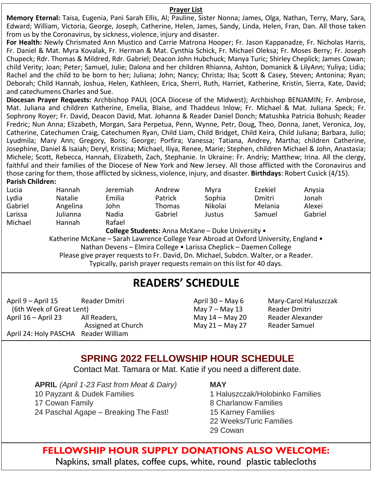#### **Prayer List**

**Memory Eternal:** Taisa, Eugenia, Pani Sarah Ellis, Al; Pauline, Sister Nonna; James, Olga, Nathan, Terry, Mary, Sara, Edward; William, Victoria, George, Joseph, Catherine, Helen, James, Sandy, Linda, Helen, Fran, Dan. All those taken from us by the Coronavirus, by sickness, violence, injury and disaster.

**For Health:** Newly Chrismated Ann Mustico and Carrie Matrona Hooper; Fr. Jason Kappanadze, Fr. Nicholas Harris, Fr. Daniel & Mat. Myra Kovalak, Fr. Herman & Mat. Cynthia Schick, Fr. Michael Oleksa; Fr. Moses Berry; Fr. Joseph Chupeck; Rdr. Thomas & Mildred, Rdr. Gabriel; Deacon John Hubchuck; Manya Turic; Shirley Cheplick; James Cowan; child Verity; Joan; Peter; Samuel, Julie; Dalona and her children Rhianna, Ashton, Domanick & LilyAnn; Yuliya; Lidia; Rachel and the child to be born to her; Juliana; John; Nancy; Christa; Ilsa; Scott & Casey, Steven; Antonina; Ryan; Deborah; Child Hannah, Joshua, Helen, Kathleen, Erica, Sherri, Ruth, Harriet, Katherine, Kristin, Sierra, Kate, David; and catechumens Charles and Sue.

**Diocesan Prayer Requests:** Archbishop PAUL (OCA Diocese of the Midwest); Archbishop BENJAMIN; Fr. Ambrose, Mat. Juliana and children Katherine, Emelia, Blaise, and Thaddeus Inlow; Fr. Michael & Mat. Juliana Speck; Fr. Sophrony Royer; Fr. David, Deacon David, Mat. Johanna & Reader Daniel Donch; Matushka Patricia Bohush; Reader Fredric; Nun Anna; Elizabeth, Morgan, Sara Perpetua, Penn, Wynne, Petr, Doug, Theo, Donna, Janet, Veronica, Joy, Catherine, Catechumen Craig, Catechumen Ryan, Child Liam, Child Bridget, Child Keira, Child Juliana; Barbara, Julio; Lyudmila; Mary Ann; Gregory, Boris; George; Porfira; Vanessa; Tatiana, Andrey, Martha; children Catherine, Josephine, Daniel & Isaiah; Deryl, Kristina; Michael, Iliya, Renee, Marie; Stephen, children Michael & John, Anastasia; Michele; Scott, Rebecca, Hannah, Elizabeth, Zach, Stephanie. In Ukraine: Fr. Andriy; Matthew; Irina. All the clergy, faithful and their families of the Diocese of New York and New Jersey. All those afflicted with the Coronavirus and those caring for them, those afflicted by sickness, violence, injury, and disaster. **Birthdays**: Robert Cusick (4/15).

#### **Parish Children:**

| Lucia   | <b>Hannah</b>                                     | <b>Jeremiah</b> | Andrew        | Mvra    | Ezekiel | Anysia  |  |  |
|---------|---------------------------------------------------|-----------------|---------------|---------|---------|---------|--|--|
| Lydia   | <b>Natalie</b>                                    | Emilia          | Patrick       | Sophia  | Dmitri  | Jonah   |  |  |
| Gabriel | Angelina                                          | John            | <b>Thomas</b> | Nikolai | Melania | Alexei  |  |  |
| Larissa | Julianna                                          | Nadia           | Gabriel       | Justus  | Samuel  | Gabriel |  |  |
| Michael | Hannah                                            | Rafael          |               |         |         |         |  |  |
|         | College Students: Anna McKane - Duke University . |                 |               |         |         |         |  |  |

Katherine McKane – Sarah Lawrence College Year Abroad at Oxford University, England • Nathan Devens – Elmira College • Larissa Cheplick – Daemen College Please give prayer requests to Fr. David, Dn. Michael, Subdcn. Walter, or a Reader. Typically, parish prayer requests remain on this list for 40 days.

## **READERS' SCHEDULE**

April 9 – April 15 Reader Dmitri (6th Week of Great Lent) April 16 – April 23 All Readers, Assigned at Church April 24: Holy PASCHA Reader William

May 7 – May 13 Reader Dmitri May 21 – May 27 Reader Samuel

April 30 – May 6 Mary-Carol Haluszczak May 14 – May 20 Reader Alexander

### **SPRING 2022 FELLOWSHIP HOUR SCHEDULE**

Contact Mat. Tamara or Mat. Katie if you need a different date.

**APRIL** *(April 1-23 Fast from Meat & Dairy)* 10 Payzant & Dudek Families 17 Cowan Family 24 Paschal Agape – Breaking The Fast!

#### **MAY**

1 Haluszczak/Holobinko Families 8 Charlanow Families 15 Karney Families 22 Weeks/Turic Families 29 Cowan

## **FELLOWSHIP HOUR SUPPLY DONATIONS ALSO WELCOME:** Napkins, small plates, coffee cups, white, round plastic tablecloths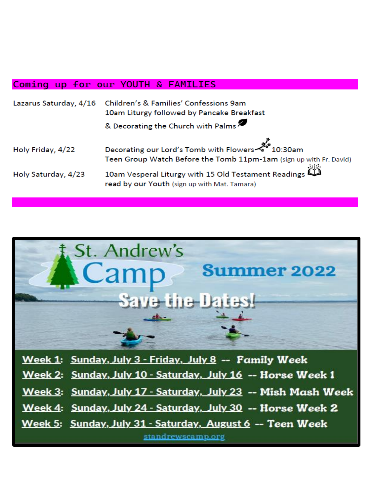### Coming up for our YOUTH & FAMILIES

|                     | Lazarus Saturday, 4/16 Children's & Families' Confessions 9am<br>10am Liturgy followed by Pancake Breakfast                      |  |  |  |  |  |
|---------------------|----------------------------------------------------------------------------------------------------------------------------------|--|--|--|--|--|
|                     | & Decorating the Church with Palms                                                                                               |  |  |  |  |  |
| Holy Friday, 4/22   | میں<br>10:30am میں Decorating our Lord's Tomb with Flowers<br>Teen Group Watch Before the Tomb 11pm-1am (sign up with Fr. David) |  |  |  |  |  |
| Holy Saturday, 4/23 | 10am Vesperal Liturgy with 15 Old Testament Readings<br>read by our Youth (sign up with Mat. Tamara)                             |  |  |  |  |  |